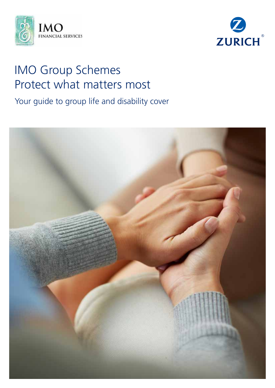



## IMO Group Schemes Protect what matters most

Your guide to group life and disability cover

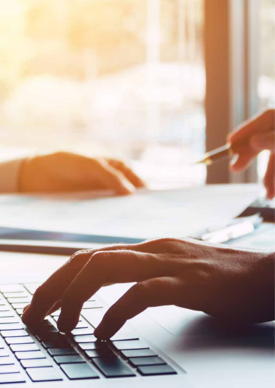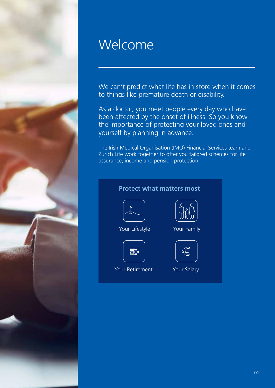

# Welcome

We can't predict what life has in store when it comes to things like premature death or disability.

As a doctor, you meet people every day who have been affected by the onset of illness. So you know the importance of protecting your loved ones and yourself by planning in advance.

The Irish Medical Organisation (IMO) Financial Services team and Zurich Life work together to offer you tailored schemes for life assurance, income and pension protection.

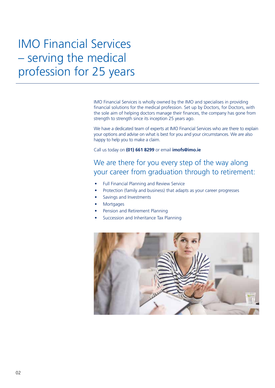## IMO Financial Services – serving the medical profession for 25 years

IMO Financial Services is wholly owned by the IMO and specialises in providing financial solutions for the medical profession. Set up by Doctors, for Doctors, with the sole aim of helping doctors manage their finances, the company has gone from strength to strength since its inception 25 years ago.

We have a dedicated team of experts at IMO Financial Services who are there to explain your options and advise on what is best for you and your circumstances. We are also happy to help you to make a claim.

Call us today on **(01) 661 8299** or email **imofs@imo.ie**

### We are there for you every step of the way along your career from graduation through to retirement:

- Full Financial Planning and Review Service
- Protection (family and business) that adapts as your career progresses
- Savings and Investments
- **Mortgages**
- Pension and Retirement Planning
- Succession and Inheritance Tax Planning

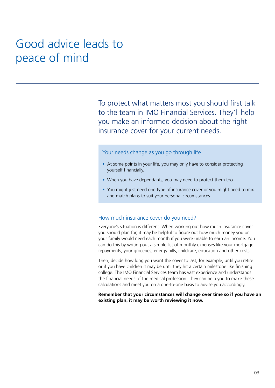## Good advice leads to peace of mind

To protect what matters most you should first talk to the team in IMO Financial Services. They'll help you make an informed decision about the right insurance cover for your current needs.

#### Your needs change as you go through life

- At some points in your life, you may only have to consider protecting yourself financially.
- When you have dependants, you may need to protect them too.
- You might just need one type of insurance cover or you might need to mix and match plans to suit your personal circumstances.

#### How much insurance cover do you need?

Everyone's situation is different. When working out how much insurance cover you should plan for, it may be helpful to figure out how much money you or your family would need each month if you were unable to earn an income. You can do this by writing out a simple list of monthly expenses like your mortgage repayments, your groceries, energy bills, childcare, education and other costs.

Then, decide how long you want the cover to last, for example, until you retire or if you have children it may be until they hit a certain milestone like finishing college. The IMO Financial Services team has vast experience and understands the financial needs of the medical profession. They can help you to make these calculations and meet you on a one-to-one basis to advise you accordingly.

**Remember that your circumstances will change over time so if you have an existing plan, it may be worth reviewing it now.**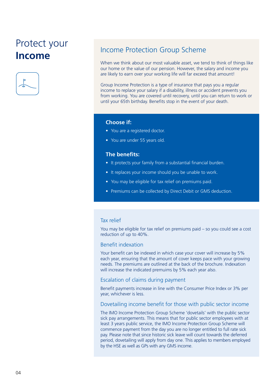## Protect your **Income**



### Income Protection Group Scheme

When we think about our most valuable asset, we tend to think of things like our home or the value of our pension. However, the salary and income you are likely to earn over your working life will far exceed that amount!

Group Income Protection is a type of insurance that pays you a regular income to replace your salary if a disability, illness or accident prevents you from working. You are covered until recovery, until you can return to work or until your 65th birthday. Benefits stop in the event of your death.

#### **Choose if:**

- You are a registered doctor.
- You are under 55 years old.

#### **The benefits:**

- It protects your family from a substantial financial burden.
- It replaces your income should you be unable to work.
- You may be eligible for tax relief on premiums paid.
- Premiums can be collected by Direct Debit or GMS deduction.

#### Tax relief

You may be eligible for tax relief on premiums paid – so you could see a cost reduction of up to 40%.

#### Benefit indexation

Your benefit can be indexed in which case your cover will increase by 5% each year, ensuring that the amount of cover keeps pace with your growing needs. The premiums are outlined at the back of the brochure. Indexation will increase the indicated premuims by 5% each year also.

#### Escalation of claims during payment

Benefit payments increase in line with the Consumer Price Index or 3% per year, whichever is less.

#### Dovetailing income benefit for those with public sector income

The IMO Income Protection Group Scheme 'dovetails' with the public sector sick pay arrangements. This means that for public sector employees with at least 3 years public service, the IMO Income Protection Group Scheme will commence payment from the day you are no longer entitled to full rate sick pay. Please note that since historic sick leave will count towards the deferred period, dovetailing will apply from day one. This applies to members employed by the HSE as well as GPs with any GMS income.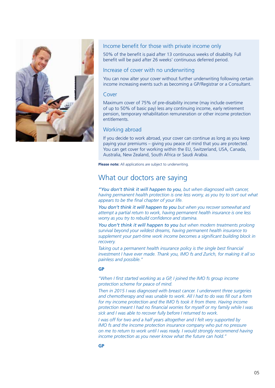

#### Income benefit for those with private income only

50% of the benefit is paid after 13 continuous weeks of disability. Full benefit will be paid after 26 weeks' continuous deferred period.

#### Increase of cover with no underwriting

You can now alter your cover without further underwriting following certain income increasing events such as becoming a GP/Registrar or a Consultant.

#### Cover

Maximum cover of 75% of pre-disability income (may include overtime of up to 50% of basic pay) less any continuing income, early retirement pension, temporary rehabilitation remuneration or other income protection entitlements.

#### Working abroad

If you decide to work abroad, your cover can continue as long as you keep paying your premiums – giving you peace of mind that you are protected. You can get cover for working within the EU, Switzerland, USA, Canada, Australia, New Zealand, South Africa or Saudi Arabia.

**Please note:** All applications are subject to underwriting.

### What our doctors are saying

*"You don't think it will happen to you, but when diagnosed with cancer, having permanent health protection is one less worry, as you try to sort out what appears to be the final chapter of your life.* 

*You don't think it will happen to you but when you recover somewhat and attempt a partial return to work, having permanent health insurance is one less worry as you try to rebuild confidence and stamina.*

*You don't think it will happen to you but when modern treatments prolong survival beyond your wildest dreams, having permanent health insurance to supplement your part-time work income becomes a significant building block in recovery.* 

*Taking out a permanent health insurance policy is the single best financial investment I have ever made. Thank you, IMO fs and Zurich, for making it all so painless and possible."*

#### **GP**

*"When I first started working as a GP, I joined the IMO fs group income protection scheme for peace of mind.*

*Then in 2015 I was diagnosed with breast cancer. I underwent three surgeries and chemotherapy and was unable to work. All I had to do was fill out a form for my income protection and the IMO fs took it from there. Having income protection meant I had no financial worries for myself or my family while I was sick and I was able to recover fully before I returned to work.* 

*I was off for two and a half years altogether and I felt very supported by IMO fs and the income protection insurance company who put no pressure on me to return to work until I was ready. I would strongly recommend having income protection as you never know what the future can hold."*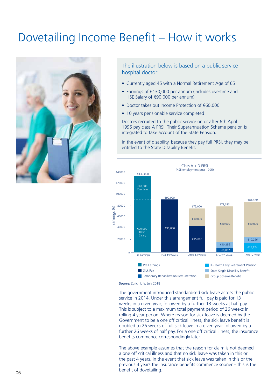## Dovetailing Income Benefit – How it works



The illustration below is based on a public service hospital doctor:

- Currently aged 45 with a Normal Retirement Age of 65
- Earnings of €130,000 per annum (includes overtime and HSE Salary of €90,000 per annum)
- Doctor takes out Income Protection of €60,000
- 10 years pensionable service completed

Doctors recruited to the public service on or after 6th April 1995 pay class A PRSI. Their Superannuation Scheme pension is integrated to take account of the State Pension.

In the event of disability, because they pay full PRSI, they may be entitled to the State Disability Benefit.



**Source:** Zurich Life, July 2018

The government introduced standardised sick leave across the public service in 2014. Under this arrangement full pay is paid for 13 weeks in a given year, followed by a further 13 weeks at half pay. This is subject to a maximum total payment period of 26 weeks in rolling 4 year period. Where reason for sick leave is deemed by the Government to be a one off critical illness, the sick leave benefit is doubled to 26 weeks of full sick leave in a given year followed by a further 26 weeks of half pay. For a one off critical illness, the insurance benefits commence correspondingly later.

The above example assumes that the reason for claim is not deemed a one off critical illness and that no sick leave was taken in this or the past 4 years. In the event that sick leave was taken in this or the previous 4 years the insurance benefits commence sooner – this is the benefit of dovetailing.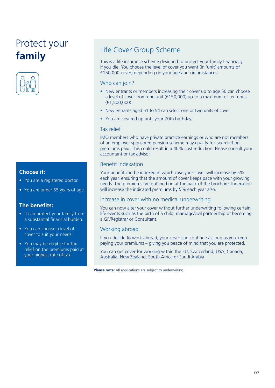## Protect your **family** Life Cover Group Scheme



### **Choose if:**

- You are a registered doctor.
- You are under 55 years of age.

#### **The benefits:**

- It can protect your family from a substantial financial burden.
- You can choose a level of cover to suit your needs.
- You may be eligible for tax relief on the premiums paid at your highest rate of tax.

This is a life insurance scheme designed to protect your family financially if you die. You choose the level of cover you want (in 'unit' amounts of €150,000 cover) depending on your age and circumstances.

#### Who can join?

- New entrants or members increasing their cover up to age 50 can choose a level of cover from one unit (€150,000) up to a maximum of ten units (€1,500,000).
- New entrants aged 51 to 54 can select one or two units of cover.
- You are covered up until your 70th birthday.

#### Tax relief

IMO members who have private practice earnings or who are not members of an employer sponsored pension scheme may qualify for tax relief on premiums paid. This could result in a 40% cost reduction. Please consult your accountant or tax advisor.

#### Benefit indexation

Your benefit can be indexed in which case your cover will increase by 5% each year, ensuring that the amount of cover keeps pace with your growing needs. The premiums are outlined on at the back of the brochure. Indexation will increase the indicated premiums by 5% each year also.

#### Increase in cover with no medical underwriting

You can now alter your cover without further underwriting following certain life events such as the birth of a child, marriage/civil partnership or becoming a GP/Registrar or Consultant.

#### Working abroad

If you decide to work abroad, your cover can continue as long as you keep paying your premiums – giving you peace of mind that you are protected.

You can get cover for working within the EU, Switzerland, USA, Canada, Australia, New Zealand, South Africa or Saudi Arabia.

**Please note:** All applications are subject to underwriting.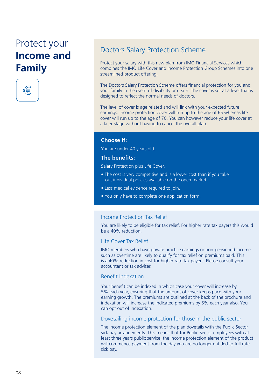## Protect your **Income and Family**



### Doctors Salary Protection Scheme

Protect your salary with this new plan from IMO Financial Services which combines the IMO Life Cover and Income Protection Group Schemes into one streamlined product offering.

The Doctors Salary Protection Scheme offers financial protection for you and your family in the event of disability or death. The cover is set at a level that is designed to reflect the normal needs of doctors.

The level of cover is age related and will link with your expected future earnings. Income protection cover will run up to the age of 65 whereas life cover will run up to the age of 70. You can however reduce your life cover at a later stage without having to cancel the overall plan.

#### **Choose if:**

You are under 40 years old.

#### **The benefits:**

Salary Protection plus Life Cover.

- The cost is very competitive and is a lower cost than if you take out individual policies available on the open market.
- Less medical evidence required to join.
- You only have to complete one application form.

#### Income Protection Tax Relief

You are likely to be eligible for tax relief. For higher rate tax payers this would be a 40% reduction.

#### Life Cover Tax Relief

IMO members who have private practice earnings or non-pensioned income such as overtime are likely to qualify for tax relief on premiums paid. This is a 40% reduction in cost for higher rate tax payers. Please consult your accountant or tax adviser.

#### Benefit Indexation

Your benefit can be indexed in which case your cover will increase by 5% each year, ensuring that the amount of cover keeps pace with your earning growth. The premiums are outlined at the back of the brochure and indexation will increase the indicated premiums by 5% each year also. You can opt out of indexation.

#### Dovetailing income protection for those in the public sector

The income protection element of the plan dovetails with the Public Sector sick pay arrangements. This means that for Public Sector employees with at least three years public service, the income protection element of the product will commence payment from the day you are no longer entitled to full rate sick pay.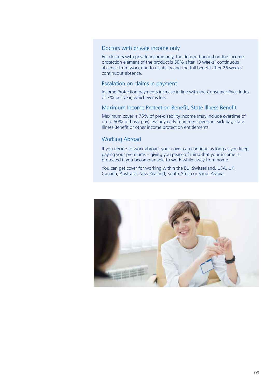#### Doctors with private income only

For doctors with private income only, the deferred period on the income protection element of the product is 50% after 13 weeks' continuous absence from work due to disability and the full benefit after 26 weeks' continuous absence.

#### Escalation on claims in payment

Income Protection payments increase in line with the Consumer Price Index or 3% per year, whichever is less.

#### Maximum Income Protection Benefit, State Illness Benefit

Maximum cover is 75% of pre-disability income (may include overtime of up to 50% of basic pay) less any early retirement pension, sick pay, state Illness Benefit or other income protection entitlements.

#### Working Abroad

If you decide to work abroad, your cover can continue as long as you keep paying your premiums – giving you peace of mind that your income is protected if you become unable to work while away from home.

You can get cover for working within the EU, Switzerland, USA, UK, Canada, Australia, New Zealand, South Africa or Saudi Arabia.

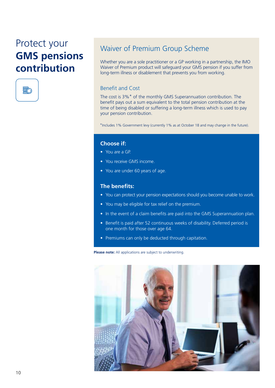## Protect your **GMS pensions contribution**



### Waiver of Premium Group Scheme

Whether you are a sole practitioner or a GP working in a partnership, the IMO Waiver of Premium product will safeguard your GMS pension if you suffer from long-term illness or disablement that prevents you from working.

### Benefit and Cost

The cost is 3%\* of the monthly GMS Superannuation contribution. The benefit pays out a sum equivalent to the total pension contribution at the time of being disabled or suffering a long-term illness which is used to pay your pension contribution.

\*Includes 1% Government levy (currently 1% as at October 18 and may change in the future).

#### **Choose if:**

- You are a GP
- You receive GMS income.
- You are under 60 years of age.

#### **The benefits:**

- You can protect your pension expectations should you become unable to work.
- You may be eligible for tax relief on the premium.
- In the event of a claim benefits are paid into the GMS Superannuation plan.
- Benefit is paid after 52 continuous weeks of disability. Deferred period is one month for those over age 64.
- Premiums can only be deducted through capitation.

**Please note:** All applications are subject to underwriting.

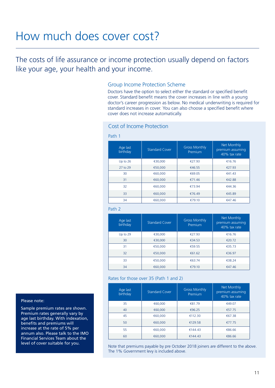The costs of life assurance or income protection usually depend on factors like your age, your health and your income.

#### Group Income Protection Scheme

Doctors have the option to select either the standard or specified benefit cover. Standard benefit means the cover increases in line with a young doctor's career progression as below. No medical underwriting is required for standard increases in cover. You can also choose a specified benefit where cover does not increase automatically.

#### Cost of Income Protection

#### Path 1

| Age last<br>birthday | <b>Standard Cover</b> | <b>Gross Monthly</b><br>Premium | Net Monthly<br>premium assuming<br>40% tax rate |
|----------------------|-----------------------|---------------------------------|-------------------------------------------------|
| Up to 26             | €30,000               |                                 | €16.76                                          |
| 27 to 29             | €50,000               | €46.55                          | €27.93                                          |
| 30<br>€60,000        |                       | €69.05                          | €41.43                                          |
| 31                   | €60,000               | €71.46                          | €42.88                                          |
| 32                   | €60,000               |                                 | €44.36                                          |
| 33<br>€60,000        |                       | €76.49                          | €45.89                                          |
| 34<br>€60,000        |                       | €79.10                          | €47.46                                          |

#### Path 2

| Age last<br>birthday | <b>Standard Cover</b> | <b>Gross Monthly</b><br>Premium | Net Monthly<br>premium assuming<br>40% tax rate |
|----------------------|-----------------------|---------------------------------|-------------------------------------------------|
| Up to 29             | €30,000               | €27.93                          | €16.76                                          |
| 30                   | €30,000               | €34.53                          | €20.72                                          |
| 31                   | €50,000               | €59.55                          | €35.73                                          |
| 32                   | €50,000               | €61.62                          | €36.97                                          |
| 33                   | €50,000               | €63.74                          | €38.24                                          |
| 34                   | €60,000               | €79.10                          | €47.46                                          |

#### Rates for those over 35 (Path 1 and 2)

| Age last<br>birthday | <b>Standard Cover</b> | <b>Gross Monthly</b><br>Premium | Net Monthly<br>premium assuming<br>40% tax rate |
|----------------------|-----------------------|---------------------------------|-------------------------------------------------|
| 35                   | €60,000               | €81.79                          | €49.07                                          |
| 40                   | €60,000               | €96.25                          | €57.75                                          |
| 45                   | €60,000               | €112.30                         | €67.38                                          |
| 50                   | €60,000               | €129.58                         | €77.75                                          |
| 55                   | €60,000               | €144.43                         | €86.66                                          |
| 60                   | €60,000               | €144.43                         | €86.66                                          |

Note that premiums payable by pre October 2018 joiners are different to the above. The 1% Government levy is included above.

#### Please note:

Sample premium rates are shown. Premium rates generally vary by age last birthday. With indexation, benefits and premiums will increase at the rate of 5% per annum also. Please talk to the IMO Financial Services Team about the level of cover suitable for you.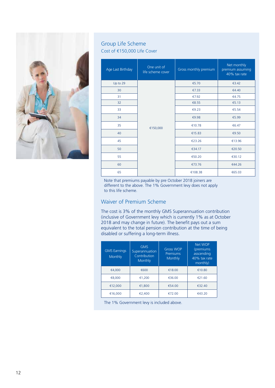

### Group Life Scheme Cost of €150,000 Life Cover

| Age Last Birthday | One unit of<br>life scheme cover | Gross monthly premium | Net monthly<br>premium assuming<br>40% tax rate |
|-------------------|----------------------------------|-----------------------|-------------------------------------------------|
| Up to 29          |                                  | €5.70                 | €3.42                                           |
| 30                |                                  | €7.33                 | €4.40                                           |
| 31                |                                  | €7.92                 | €4.75                                           |
| 32                |                                  | €8.55                 | €5.13                                           |
| 33                | €150,000                         | €9.23                 | €5.54                                           |
| 34                |                                  | €9.98                 | €5.99                                           |
| 35                |                                  | €10.78                | €6.47                                           |
| 40                |                                  | €15.83                | €9.50                                           |
| 45                |                                  | €23.26                | €13.96                                          |
| 50                |                                  | €34.17                | €20.50                                          |
| 55                |                                  | €50.20                | €30.12                                          |
| 60                |                                  | €73.76                | €44.26                                          |
| 65                |                                  | €108.38               | €65.03                                          |

Note that premiums payable by pre October 2018 joiners are different to the above. The 1% Government levy does not apply to this life scheme.

### Waiver of Premium Scheme

The cost is 3% of the monthly GMS Superannuation contribution (inclusive of Government levy which is currently 1% as at October 2018 and may change in future). The benefit pays out a sum equivalent to the total pension contribution at the time of being disabled or suffering a long-term illness.

| <b>GMS Earnings</b><br>Monthly | <b>GMS</b><br>Superannuation<br>Contribution<br>Monthly | <b>Gross WOP</b><br>Premiums<br>Monthly | Net WOP<br>(premiums<br>asscending<br>40% tax rate<br>monthly) |
|--------------------------------|---------------------------------------------------------|-----------------------------------------|----------------------------------------------------------------|
| €4,000                         | €600                                                    | €18.00                                  | €10.80                                                         |
| €8,000                         | €1,200                                                  | €36.00                                  | €21.60                                                         |
| €12,000                        | €1.800                                                  | €54.00                                  | €32.40                                                         |
| €16,000                        | €2.400                                                  | €72.00                                  | €43.20                                                         |

The 1% Government levy is included above.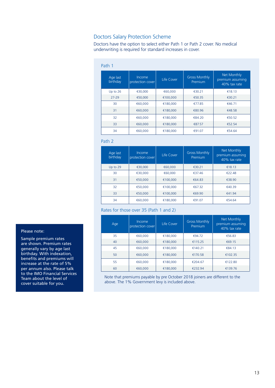#### Doctors Salary Protection Scheme

Doctors have the option to select either Path 1 or Path 2 cover. No medical underwriting is required for standard increases in cover.

| Path 1               |                            |            |                                 |                                                        |  |
|----------------------|----------------------------|------------|---------------------------------|--------------------------------------------------------|--|
| Age last<br>birthday | Income<br>protection cover | Life Cover | <b>Gross Monthly</b><br>Premium | <b>Net Monthly</b><br>premium assuming<br>40% tax rate |  |
| Up to 26             | €30,000                    | €60,000    | €30.21                          | €18.13                                                 |  |
| $27 - 29$            | €50,000                    | €100,000   | €50.35                          | €30.21                                                 |  |
| 30                   | €60,000                    | €180,000   | €77.85                          | €46.71                                                 |  |
| 31                   | €60,000                    | €180,000   | €80.96                          | €48.58                                                 |  |
| 32                   | €60,000                    | €180,000   | €84.20                          | €50.52                                                 |  |
| 33                   | €60,000                    | €180,000   | €87.57                          | €52.54                                                 |  |
| 34                   | €60,000                    | €180,000   | €91.07                          | €54.64                                                 |  |

#### Path 2

| Age last<br>birthday | Income<br>protection cover | Life Cover | <b>Gross Monthly</b><br>Premium | Net Monthly<br>premium assuming<br>40% tax rate |
|----------------------|----------------------------|------------|---------------------------------|-------------------------------------------------|
| Up to 29             | €30,000                    | €60,000    | €30.21                          | €18.13                                          |
| 30                   | €30,000                    | €60,000    | €37.46                          | €22.48                                          |
| 31                   | €50,000                    | €100.000   | €64.83                          | €38.90                                          |
| 32                   | €50.000                    | €100.000   | €67.32                          | €40.39                                          |
| 33                   | €50,000                    | €100.000   | €69.90                          | €41.94                                          |
| 34                   | €60,000                    | €180,000   | €91.07                          | €54.64                                          |

#### Rates for those over 35 (Path 1 and 2)

| Age | Income<br>protection cover | Life Cover | <b>Gross Monthly</b><br>Premium | Net Monthly<br>premium assuming<br>40% tax rate |
|-----|----------------------------|------------|---------------------------------|-------------------------------------------------|
| 35  | €60,000                    | €180,000   | €94.72                          | €56.83                                          |
| 40  | €60,000                    | €180,000   | €115.25                         | €69.15                                          |
| 45  | €60,000                    | €180,000   | €140.21                         | €84.13                                          |
| 50  | €60,000                    | €180,000   | €170.58                         | €102.35                                         |
| 55  | €60,000                    | €180,000   | €204.67                         | €122.80                                         |
| 60  | €60,000                    | €180,000   | €232.94                         | €139.76                                         |

Note that premiums payable by pre October 2018 joiners are different to the above. The 1% Government levy is included above.

#### Please note:

Sample premium rates are shown. Premium rates generally vary by age last birthday. With indexation, benefits and premiums will increase at the rate of 5% per annum also. Please talk to the IMO Financial Services Team about the level of cover suitable for you.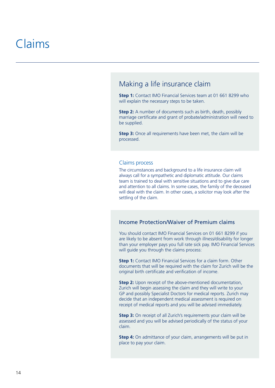## Claims

### Making a life insurance claim

**Step 1:** Contact IMO Financial Services team at 01 661 8299 who will explain the necessary steps to be taken.

**Step 2:** A number of documents such as birth, death, possibly marriage certificate and grant of probate/administration will need to be supplied.

**Step 3:** Once all requirements have been met, the claim will be processed.

#### Claims process

The circumstances and background to a life insurance claim will always call for a sympathetic and diplomatic attitude. Our claims team is trained to deal with sensitive situations and to give due care and attention to all claims. In some cases, the family of the deceased will deal with the claim. In other cases, a solicitor may look after the settling of the claim.

#### Income Protection/Waiver of Premium claims

You should contact IMO Financial Services on 01 661 8299 if you are likely to be absent from work through illness/disability for longer than your employer pays you full rate sick pay. IMO Financial Services will quide you through the claims process:

**Step 1:** Contact IMO Financial Services for a claim form. Other documents that will be required with the claim for Zurich will be the original birth certificate and verification of income.

**Step 2:** Upon receipt of the above-mentioned documentation, Zurich will begin assessing the claim and they will write to your GP and possibly Specialist Doctors for medical reports. Zurich may decide that an independent medical assessment is required on receipt of medical reports and you will be advised immediately.

**Step 3:** On receipt of all Zurich's requirements your claim will be assessed and you will be advised periodically of the status of your claim.

**Step 4:** On admittance of your claim, arrangements will be put in place to pay your claim.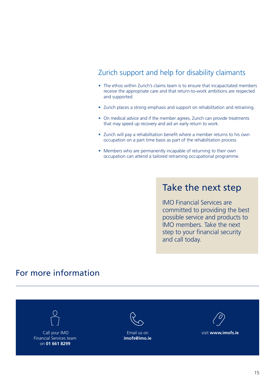### Zurich support and help for disability claimants

- The ethos within Zurich's claims team is to ensure that incapacitated members receive the appropriate care and that return-to-work ambitions are respected and supported.
- Zurich places a strong emphasis and support on rehabilitation and retraining.
- On medical advice and if the member agrees, Zurich can provide treatments that may speed up recovery and aid an early return to work.
- Zurich will pay a rehabilitation benefit where a member returns to his own occupation on a part time basis as part of the rehabilitation process.
- Members who are permanently incapable of returning to their own occupation can attend a tailored retraining occupational programme.

### Take the next step

IMO Financial Services are committed to providing the best possible service and products to IMO members. Take the next step to your financial security and call today.

### For more information